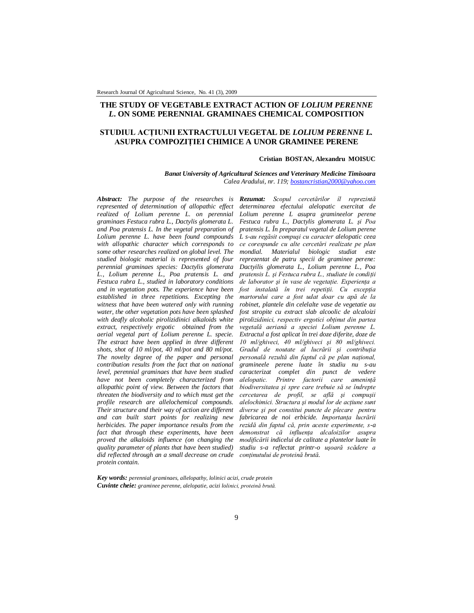## **THE STUDY OF VEGETABLE EXTRACT ACTION OF** *LOLIUM PERENNE L***. ON SOME PERENNIAL GRAMINAES CHEMICAL COMPOSITION**

# **STUDIUL ACŢIUNII EXTRACTULUI VEGETAL DE** *LOLIUM PERENNE L.* **ASUPRA COMPOZIŢIEI CHIMICE A UNOR GRAMINEE PERENE**

#### **Cristian BOSTAN, Alexandru MOISUC**

*Banat University of Agricultural Sciences and Veterinary Medicine Timisoara Calea Aradului, nr. 119; bostancristian2000@yahoo.com*

*represented of determination of allopathic effect realized of Lolium perenne L. on perennial graminaes Festuca rubra L., Dactylis glomerata L. and Poa pratensis L. In the vegetal preparation of Lolium perenne L. have been found compounds with allopathic character which corresponds to some other researches realized on global level. The studied biologic material is represented of four perennial graminaes species: Dactylis glomerata L., Lolium perenne L., Poa pratensis L. and Festuca rubra L., studied in laboratory conditions and in vegetation pots. The experience have been established in three repetitions. Excepting the witness that have been watered only with running water, the other vegetation pots have been splashed with deafly alcoholic pirolizidinici alkaloids white extract, respectively ergotic obtained from the aerial vegetal part of Lolium perenne L. specie. The estract have been applied in three different shots, shot of 10 ml/pot, 40 ml/pot and 80 ml/pot. The novelty degree of the paper and personal contribution results from the fact that on national level, perennial graminaes that have been studied have not been completely characterized from allopathic point of view. Between the factors that threaten the biodiversity and to which must get the profile research are allelochemical compounds. Their structure and their way of action are different and can built start points for realizing new herbicides. The paper importance results from the fact that through these experiments, have been proved the alkaloids influence (on changing the quality parameter of plants that have been studied) did reflected through an a small decrease on crude protein contain.*

*Abstract: The purpose of the researches is Rezumat: Scopul cercetărilor îl reprezintă determinarea efectului alelopatic exercitat de Lolium perenne L asupra gramineelor perene Festuca rubra L., Dactylis glomerata L. şi Poa pratensis L. În preparatul vegetal de Lolium perene L s-au regăsit compuşi cu caracter alelopatic ceea ce corespunde cu alte cercetări realizate pe plan mondial. Materialul biologic studiat este reprezentat de patru specii de graminee perene: Dactyilis glomerata L., Lolium perenne L., Poa pratensis L. și Festuca rubra L., studiate în conditii de laborator şi în vase de vegetaţie. Experienţa a fost instalată în trei repetiţii. Cu excepţia martorului care a fost udat doar cu apă de la robinet, plantele din celelalte vase de vegetatie au fost stropite cu extract slab alcoolic de alcaloizi pirolizidinici, respectiv ergotici obţinut din partea vegetală aeriană a speciei Lolium perenne L. Extractul a fost aplicat în trei doze diferite, doze de 10 ml/ghiveci, 40 ml/ghiveci şi 80 ml/ghiveci. Gradul de noutate al lucrării şi contribuţia personală rezultă din faptul că pe plan naţional, gramineele perene luate în studiu nu s-au caracterizat complet din punct de vedere alelopatic. Printre factorii care ameninţă biodiversitatea şi spre care trebuie să se îndrepte cercetarea de profil, se află şi compuşii alelochimici. Structura şi modul lor de acţiune sunt diverse şi pot constitui puncte de plecare pentru fabricarea de noi erbicide. Importanţa lucrării rezidă din faptul că, prin aceste experimente, s-a demonstrat că influenţa alcaloizilor asupra modificării indicelui de calitate a plantelor luate în studiu s-a reflectat printr-o uşoară scădere a conţinutului de proteină brută.*

*Key words: perennial graminaes, allelopathy, lolinici acizi, crude protein Cuvinte cheie: graminee perenne, alelopatie, acizi lolinici, proteină brută.*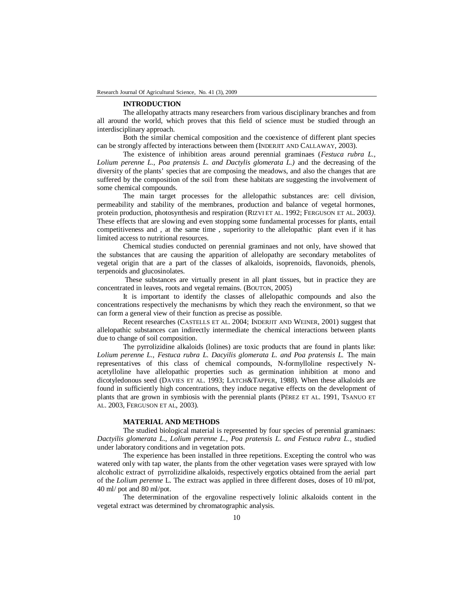#### **INTRODUCTION**

The allelopathy attracts many researchers from various disciplinary branches and from all around the world, which proves that this field of science must be studied through an interdisciplinary approach.

Both the similar chemical composition and the coexistence of different plant species can be strongly affected by interactions between them (INDERJIT AND CALLAWAY, 2003).

The existence of inhibition areas around perennial graminaes (*Festuca rubra L., Lolium perenne L., Poa pratensis L. and Dactylis glomerata L.)* and the decreasing of the diversity of the plants' species that are composing the meadows, and also the changes that are suffered by the composition of the soil from these habitats are suggesting the involvement of some chemical compounds.

The main target processes for the allelopathic substances are: cell division, permeability and stability of the membranes, production and balance of vegetal hormones, protein production, photosynthesis and respiration (RIZVI ET AL. 1992; FERGUSON ET AL. 2003*)*. These effects that are slowing and even stopping some fundamental processes for plants, entail competitiveness and , at the same time , superiority to the allelopathic plant even if it has limited access to nutritional resources.

Chemical studies conducted on perennial graminaes and not only, have showed that the substances that are causing the apparition of allelopathy are secondary metabolites of vegetal origin that are a part of the classes of alkaloids, isoprenoids, flavonoids, phenols, terpenoids and glucosinolates.

 These substances are virtually present in all plant tissues, but in practice they are concentrated in leaves, roots and vegetal remains. (BOUTON, 2005)

It is important to identify the classes of allelopathic compounds and also the concentrations respectively the mechanisms by which they reach the environment, so that we can form a general view of their function as precise as possible.

Recent researches (CASTELLS ET AL. 2004; INDERJIT AND WEINER, 2001) suggest that allelopathic substances can indirectly intermediate the chemical interactions between plants due to change of soil composition.

The pyrrolizidine alkaloids (lolines) are toxic products that are found in plants like: *Lolium perenne L., Festuca rubra L. Dacyilis glomerata L. and Poa pratensis L.* The main representatives of this class of chemical compounds, N-formylloline respectively Nacetylloline have allelopathic properties such as germination inhibition at mono and dicotyledonous seed (DAVIES ET AL. 1993; LATCH&TAPPER, 1988). When these alkaloids are found in sufficiently high concentrations, they induce negative effects on the development of plants that are grown in symbiosis with the perennial plants (PÉREZ ET AL. 1991, TSANUO ET AL. 2003, FERGUSON ET AL, 2003).

### **MATERIAL AND METHODS**

The studied biological material is represented by four species of perennial graminaes: *Dactyilis glomerata L., Lolium perenne L., Poa pratensis L. and Festuca rubra L*., studied under laboratory conditions and in vegetation pots.

The experience has been installed in three repetitions. Excepting the control who was watered only with tap water, the plants from the other vegetation vases were sprayed with low alcoholic extract of pyrrolizidine alkaloids, respectively ergotics obtained from the aerial part of the *Lolium perenne* L. The extract was applied in three different doses, doses of 10 ml/pot, 40 ml/ pot and 80 ml/pot.

The determination of the ergovaline respectively lolinic alkaloids content in the vegetal extract was determined by chromatographic analysis.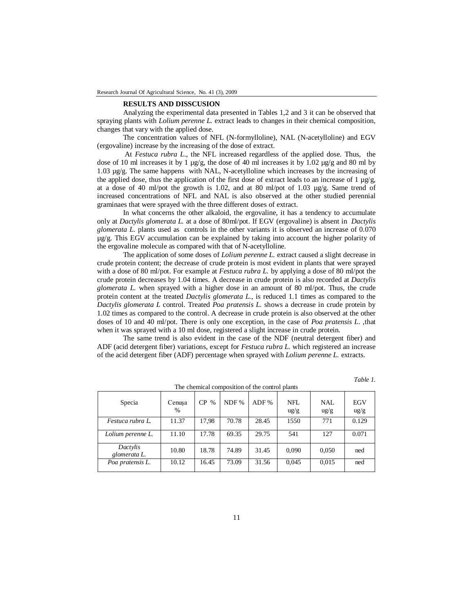### **RESULTS AND DISSCUSION**

Analyzing the experimental data presented in Tables 1,2 and 3 it can be observed that spraying plants with *Lolium perenne L.* extract leads to changes in their chemical composition, changes that vary with the applied dose.

The concentration values of NFL (N-formylloline), NAL (N-acetylloline) and EGV (ergovaline) increase by the increasing of the dose of extract.

 At *Festuca rubra L*., the NFL increased regardless of the applied dose. Thus, the dose of 10 ml increases it by 1  $\mu$ g/g, the dose of 40 ml increases it by 1.02  $\mu$ g/g and 80 ml by 1.03 µg/g. The same happens with NAL, N-acetylloline which increases by the increasing of the applied dose, thus the application of the first dose of extract leads to an increase of 1  $\mu$ g/g, at a dose of 40 ml/pot the growth is 1.02, and at 80 ml/pot of 1.03  $\mu$ g/g. Same trend of increased concentrations of NFL and NAL is also observed at the other studied perennial graminaes that were sprayed with the three different doses of extract.

In what concerns the other alkaloid, the ergovaline, it has a tendency to accumulate only at *Dactylis glomerata L.* at a dose of 80ml/pot. If EGV (ergovaline) is absent in *Dactylis glomerata L.* plants used as controls in the other variants it is observed an increase of 0.070 µg/g. This EGV accumulation can be explained by taking into account the higher polarity of the ergovaline molecule as compared with that of N-acetylloline.

The application of some doses of *Lolium perenne L.* extract caused a slight decrease in crude protein content; the decrease of crude protein is most evident in plants that were sprayed with a dose of 80 ml/pot. For example at *Festuca rubra L.* by applying a dose of 80 ml/pot the crude protein decreases by 1.04 times. A decrease in crude protein is also recorded at *Dactylis glomerata L.* when sprayed with a higher dose in an amount of 80 ml/pot. Thus, the crude protein content at the treated *Dactylis glomerata L.*, is reduced 1.1 times as compared to the *Dactylis glomerata L* control. Treated *Poa pratensis L.* shows a decrease in crude protein by 1.02 times as compared to the control. A decrease in crude protein is also observed at the other doses of 10 and 40 ml/pot. There is only one exception, in the case of *Poa pratensis L*., that when it was sprayed with a 10 ml dose, registered a slight increase in crude protein.

The same trend is also evident in the case of the NDF (neutral detergent fiber) and ADF (acid detergent fiber) variations, except for *Festuca rubra L.* which registered an increase of the acid detergent fiber (ADF) percentage when sprayed with *Lolium perenne L.* extracts.

*Table 1.*

| The chemical composition of the control plants |                |          |       |       |                        |                        |                        |  |
|------------------------------------------------|----------------|----------|-------|-------|------------------------|------------------------|------------------------|--|
| Specia                                         | Cenusa<br>$\%$ | CP.<br>% | NDF % | ADF % | NFL<br>$\frac{u g}{g}$ | NAL<br>$\frac{u g}{g}$ | EGV<br>$\frac{u g}{g}$ |  |
| Festuca rubra L.                               | 11.37          | 17.98    | 70.78 | 28.45 | 1550                   | 771                    | 0.129                  |  |
| Lolium perenne L.                              | 11.10          | 17.78    | 69.35 | 29.75 | 541                    | 127                    | 0.071                  |  |
| Dactylis<br>glomerata L.                       | 10.80          | 18.78    | 74.89 | 31.45 | 0.090                  | 0.050                  | ned                    |  |
| Poa pratensis L.                               | 10.12          | 16.45    | 73.09 | 31.56 | 0,045                  | 0,015                  | ned                    |  |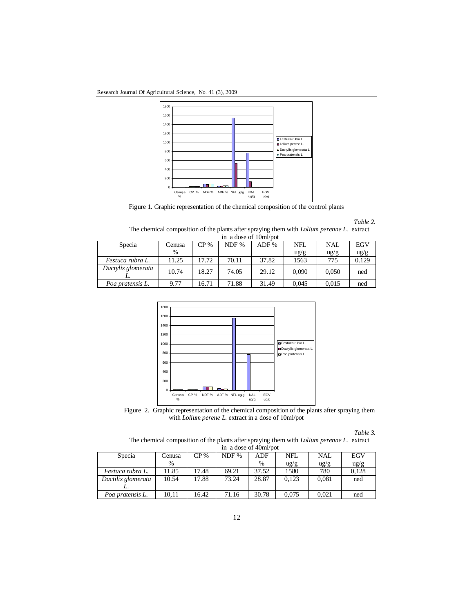Research Journal Of Agricultural Science, No. 41 (3), 2009



Figure 1. Graphic representation of the chemical composition of the control plants

*Table 2.*

The chemical composition of the plants after spraying them with *Lolium perenne L.* extract in a dose of 10ml/pot

| Specia             | Cenusa        | CP %  | NDF % | ADF % | NFL             | <b>NAL</b>      | EGV             |
|--------------------|---------------|-------|-------|-------|-----------------|-----------------|-----------------|
|                    | $\frac{0}{0}$ |       |       |       |                 |                 |                 |
|                    |               |       |       |       | $\frac{u g}{g}$ | $\frac{u g}{g}$ | $\frac{u g}{g}$ |
| Festuca rubra L.   | 11.25         | 17.72 | 70.11 | 37.82 | 1563            | 775             | 0.129           |
| Dactylis glomerata | 10.74         | 18.27 | 74.05 | 29.12 | 0.090           | 0.050           | ned             |
| Poa pratensis L.   | 9.77          | 16.71 | 71.88 | 31.49 | 0.045           | 0.015           | ned             |



Figure 2. Graphic representation of the chemical composition of the plants after spraying them with *Lolium perene L.* extract in a dose of 10ml/pot

*Table 3.* 

The chemical composition of the plants after spraying them with *Lolium perenne L.* extract in a dose of 40ml/pot

| $\mu$ a dose of $\tau$ om bot |               |       |       |       |                 |                 |                 |
|-------------------------------|---------------|-------|-------|-------|-----------------|-----------------|-----------------|
| Specia                        | Cenusa        | CP %  | NDF % | ADF   | NFL             | NAL             | <b>EGV</b>      |
|                               | $\frac{0}{0}$ |       |       | $\%$  | $\frac{u g}{g}$ | $\frac{u g}{g}$ | $\frac{u g}{g}$ |
| Festuca rubra L.              | 11.85         | 17.48 | 69.21 | 37.52 | 1580            | 780             | 0.128           |
| Dactilis glomerata            | 10.54         | 17.88 | 73.24 | 28.87 | 0.123           | 0,081           | ned             |
|                               |               |       |       |       |                 |                 |                 |
| Poa pratensis L.              | 10.11         | 16.42 | 71.16 | 30.78 | 0.075           | 0.021           | ned             |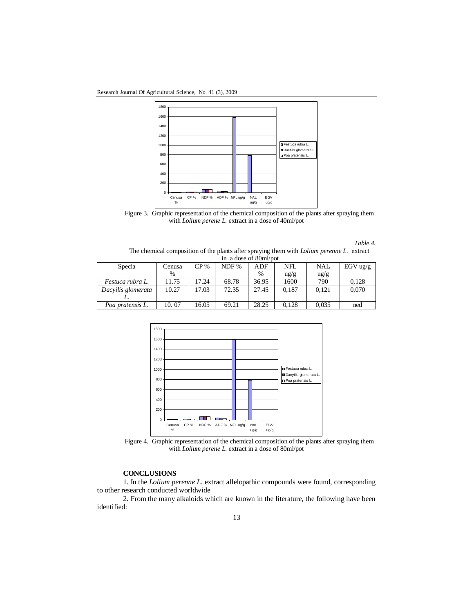Research Journal Of Agricultural Science, No. 41 (3), 2009



Figure 3. Graphic representation of the chemical composition of the plants after spraying them with *Lolium perene L.* extract in a dose of 40ml/pot

*Table 4.* 

The chemical composition of the plants after spraying them with *Lolium perenne L.* extract in a dose of 80ml/pot

| Specia             | Cenusa        | $CP\%$ | NDF % | ADF           | NFL             | <b>NAL</b>      | EGV $\frac{u}{g}$ |
|--------------------|---------------|--------|-------|---------------|-----------------|-----------------|-------------------|
|                    | $\frac{0}{0}$ |        |       | $\frac{0}{0}$ | $\frac{u g}{g}$ | $\frac{u g}{g}$ |                   |
| Festuca rubra L.   | 11.75         | 17.24  | 68.78 | 36.95         | 1600            | 790             | 0.128             |
| Dacyilis glomerata | 10.27         | 17.03  | 72.35 | 27.45         | 0.187           | 0.121           | 0,070             |
|                    |               |        |       |               |                 |                 |                   |
| Poa pratensis L.   | 10.07         | 16.05  | 69.21 | 28.25         | 0.128           | 0.035           | ned               |





### **CONCLUSIONS**

1. In the *Lolium perenne L.* extract allelopathic compounds were found, corresponding to other research conducted worldwide

2. From the many alkaloids which are known in the literature, the following have been identified: